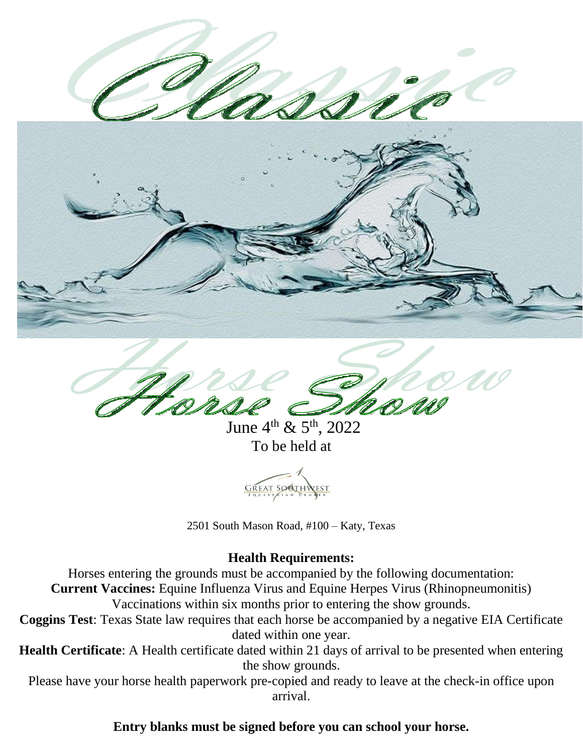June  $4^{th}$  &  $5^{th}$ , 2022 To be held at



2501 South Mason Road, #100 – Katy, Texas

# **Health Requirements:**

Horses entering the grounds must be accompanied by the following documentation:

**Current Vaccines:** Equine Influenza Virus and Equine Herpes Virus (Rhinopneumonitis)

Vaccinations within six months prior to entering the show grounds.

**Coggins Test**: Texas State law requires that each horse be accompanied by a negative EIA Certificate dated within one year.

**Health Certificate**: A Health certificate dated within 21 days of arrival to be presented when entering the show grounds.

Please have your horse health paperwork pre-copied and ready to leave at the check-in office upon arrival.

# **Entry blanks must be signed before you can school your horse.**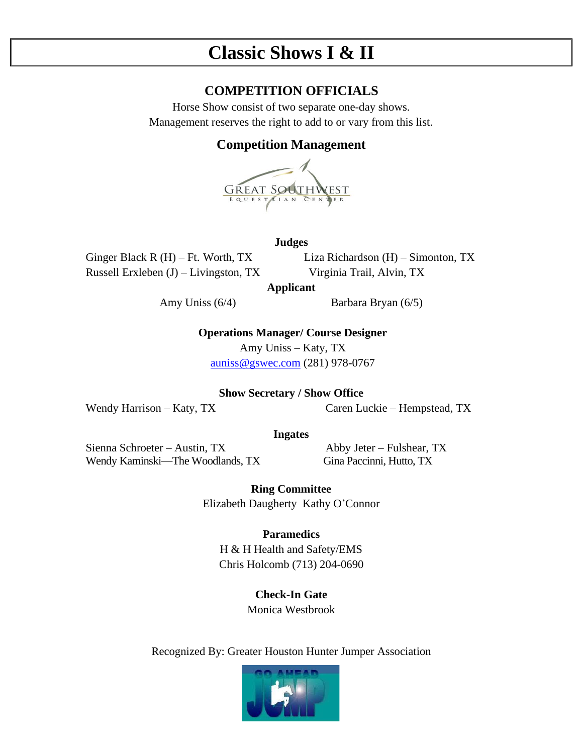# **Classic Shows I & II**

# **COMPETITION OFFICIALS**

Horse Show consist of two separate one-day shows. Management reserves the right to add to or vary from this list.

# **Competition Management**



### **Judges**

Russell Erxleben (J) – Livingston, TX Virginia Trail, Alvin, TX

Ginger Black R (H) – Ft. Worth, TX Liza Richardson (H) – Simonton, TX

**Applicant**

Amy Uniss (6/4) Barbara Bryan (6/5)

**Operations Manager/ Course Designer** 

Amy Uniss – Katy, TX [auniss@gswec.com](mailto:auniss@gswec.com) (281) 978-0767

# **Show Secretary / Show Office**

Wendy Harrison – Katy, TX Caren Luckie – Hempstead, TX

### **Ingates**

Sienna Schroeter – Austin, TX Abby Jeter – Fulshear, TX Wendy Kaminski—The Woodlands, TX Gina Paccinni, Hutto, TX

**Ring Committee** Elizabeth Daugherty Kathy O'Connor

# **Paramedics**

H & H Health and Safety/EMS Chris Holcomb (713) 204-0690

> **Check-In Gate** Monica Westbrook

Recognized By: Greater Houston Hunter Jumper Association

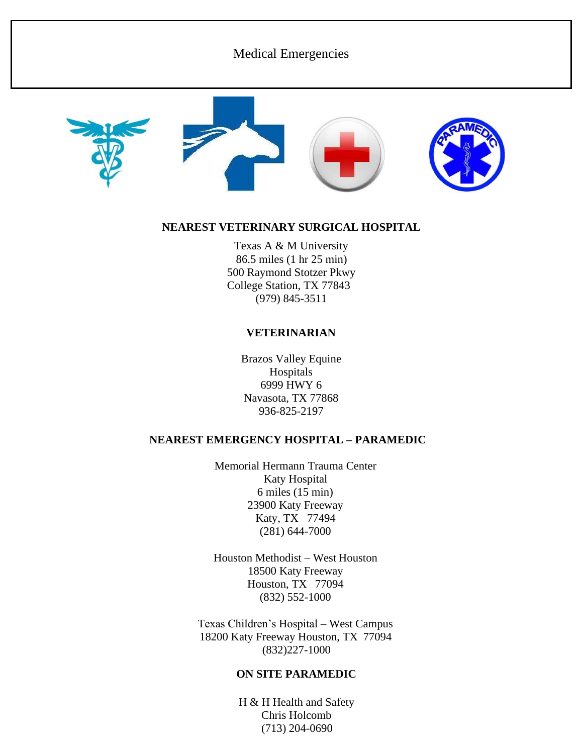# Medical Emergencies







# **NEAREST VETERINARY SURGICAL HOSPITAL**

Texas A & M University 86.5 miles (1 hr 25 min) 500 Raymond Stotzer Pkwy College Station, TX 77843 (979) 845-3511

### **VETERINARIAN**

Brazos Valley Equine Hospitals 6999 HWY 6 Navasota, TX 77868 936-825-2197

# **NEAREST EMERGENCY HOSPITAL – PARAMEDIC**

Memorial Hermann Trauma Center Katy Hospital 6 miles (15 min) 23900 Katy Freeway Katy, TX 77494 (281) 644-7000

Houston Methodist – West Houston 18500 Katy Freeway Houston, TX 77094 (832) 552-1000

Texas Children's Hospital – West Campus 18200 Katy Freeway Houston, TX 77094 (832)227-1000

### **ON SITE PARAMEDIC**

H & H Health and Safety Chris Holcomb (713) 204-0690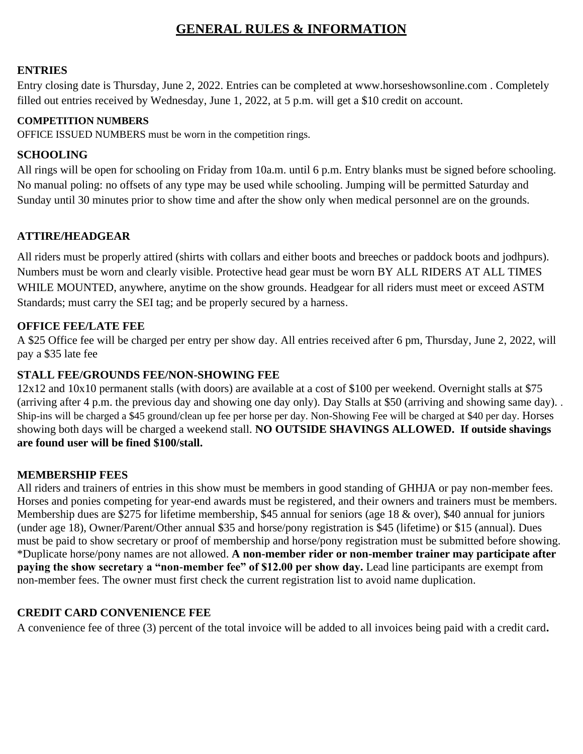# **GENERAL RULES & INFORMATION**

## **ENTRIES**

Entry closing date is Thursday, June 2, 2022. Entries can be completed at [www.horseshowsonline.com .](http://www.horseshowsonline.com/) Completely filled out entries received by Wednesday, June 1, 2022, at 5 p.m. will get a \$10 credit on account.

### **COMPETITION NUMBERS**

OFFICE ISSUED NUMBERS must be worn in the competition rings.

# **SCHOOLING**

All rings will be open for schooling on Friday from 10a.m. until 6 p.m. Entry blanks must be signed before schooling. No manual poling: no offsets of any type may be used while schooling. Jumping will be permitted Saturday and Sunday until 30 minutes prior to show time and after the show only when medical personnel are on the grounds.

# **ATTIRE/HEADGEAR**

All riders must be properly attired (shirts with collars and either boots and breeches or paddock boots and jodhpurs). Numbers must be worn and clearly visible. Protective head gear must be worn BY ALL RIDERS AT ALL TIMES WHILE MOUNTED, anywhere, anytime on the show grounds. Headgear for all riders must meet or exceed ASTM Standards; must carry the SEI tag; and be properly secured by a harness.

### **OFFICE FEE/LATE FEE**

A \$25 Office fee will be charged per entry per show day. All entries received after 6 pm, Thursday, June 2, 2022, will pay a \$35 late fee

### **STALL FEE/GROUNDS FEE/NON-SHOWING FEE**

12x12 and 10x10 permanent stalls (with doors) are available at a cost of \$100 per weekend. Overnight stalls at \$75 (arriving after 4 p.m. the previous day and showing one day only). Day Stalls at \$50 (arriving and showing same day). . Ship-ins will be charged a \$45 ground/clean up fee per horse per day. Non-Showing Fee will be charged at \$40 per day. Horses showing both days will be charged a weekend stall. **NO OUTSIDE SHAVINGS ALLOWED. If outside shavings are found user will be fined \$100/stall.**

# **MEMBERSHIP FEES**

All riders and trainers of entries in this show must be members in good standing of GHHJA or pay non-member fees. Horses and ponies competing for year-end awards must be registered, and their owners and trainers must be members. Membership dues are \$275 for lifetime membership, \$45 annual for seniors (age 18 & over), \$40 annual for juniors (under age 18), Owner/Parent/Other annual \$35 and horse/pony registration is \$45 (lifetime) or \$15 (annual). Dues must be paid to show secretary or proof of membership and horse/pony registration must be submitted before showing. \*Duplicate horse/pony names are not allowed. **A non-member rider or non-member trainer may participate after paying the show secretary a "non-member fee" of \$12.00 per show day.** Lead line participants are exempt from non-member fees. The owner must first check the current registration list to avoid name duplication.

# **CREDIT CARD CONVENIENCE FEE**

A convenience fee of three (3) percent of the total invoice will be added to all invoices being paid with a credit card**.**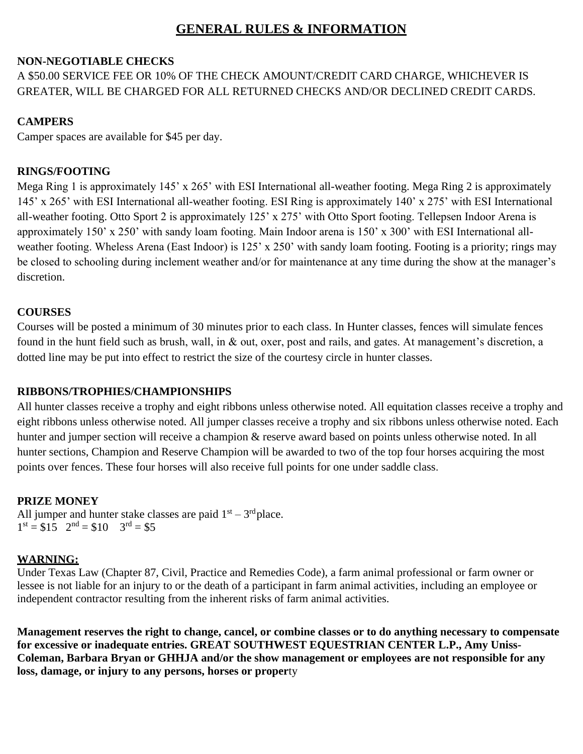# **GENERAL RULES & INFORMATION**

# **NON-NEGOTIABLE CHECKS**

# A \$50.00 SERVICE FEE OR 10% OF THE CHECK AMOUNT/CREDIT CARD CHARGE, WHICHEVER IS GREATER, WILL BE CHARGED FOR ALL RETURNED CHECKS AND/OR DECLINED CREDIT CARDS.

# **CAMPERS**

Camper spaces are available for \$45 per day.

# **RINGS/FOOTING**

Mega Ring 1 is approximately 145' x 265' with ESI International all-weather footing. Mega Ring 2 is approximately 145' x 265' with ESI International all-weather footing. ESI Ring is approximately 140' x 275' with ESI International all-weather footing. Otto Sport 2 is approximately 125' x 275' with Otto Sport footing. Tellepsen Indoor Arena is approximately 150' x 250' with sandy loam footing. Main Indoor arena is 150' x 300' with ESI International allweather footing. Wheless Arena (East Indoor) is 125' x 250' with sandy loam footing. Footing is a priority; rings may be closed to schooling during inclement weather and/or for maintenance at any time during the show at the manager's discretion.

# **COURSES**

Courses will be posted a minimum of 30 minutes prior to each class. In Hunter classes, fences will simulate fences found in the hunt field such as brush, wall, in & out, oxer, post and rails, and gates. At management's discretion, a dotted line may be put into effect to restrict the size of the courtesy circle in hunter classes.

# **RIBBONS/TROPHIES/CHAMPIONSHIPS**

All hunter classes receive a trophy and eight ribbons unless otherwise noted. All equitation classes receive a trophy and eight ribbons unless otherwise noted. All jumper classes receive a trophy and six ribbons unless otherwise noted. Each hunter and jumper section will receive a champion  $\&$  reserve award based on points unless otherwise noted. In all hunter sections, Champion and Reserve Champion will be awarded to two of the top four horses acquiring the most points over fences. These four horses will also receive full points for one under saddle class.

# **PRIZE MONEY**

All jumper and hunter stake classes are paid  $1<sup>st</sup> - 3<sup>rd</sup>$  place.  $1<sup>st</sup> = $15$   $2<sup>nd</sup> = $10$   $3<sup>rd</sup> = $5$ 

# **WARNING:**

Under Texas Law (Chapter 87, Civil, Practice and Remedies Code), a farm animal professional or farm owner or lessee is not liable for an injury to or the death of a participant in farm animal activities, including an employee or independent contractor resulting from the inherent risks of farm animal activities.

**Management reserves the right to change, cancel, or combine classes or to do anything necessary to compensate for excessive or inadequate entries. GREAT SOUTHWEST EQUESTRIAN CENTER L.P., Amy Uniss-Coleman, Barbara Bryan or GHHJA and/or the show management or employees are not responsible for any loss, damage, or injury to any persons, horses or proper**ty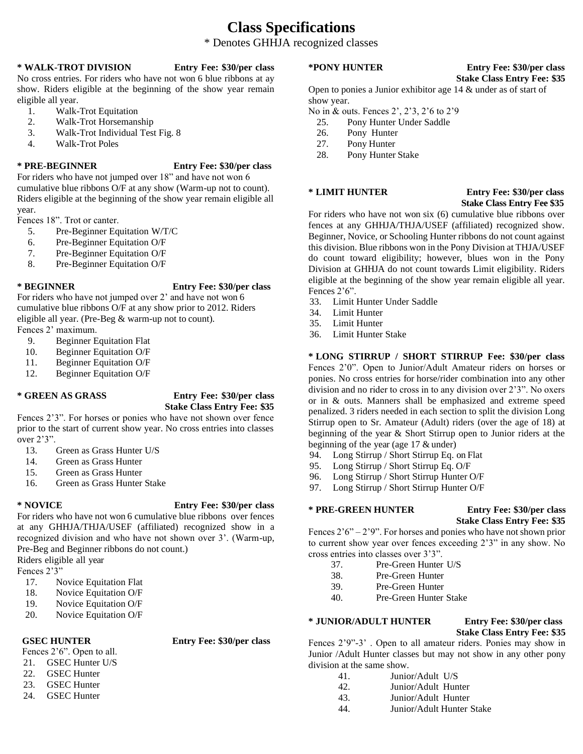# **Class Specifications**

### \* Denotes GHHJA recognized classes

### **\* WALK-TROT DIVISION Entry Fee: \$30/per class**

No cross entries. For riders who have not won 6 blue ribbons at ay show. Riders eligible at the beginning of the show year remain eligible all year.

- 1. Walk-Trot Equitation
- 2. Walk-Trot Horsemanship
- 3. Walk-Trot Individual Test Fig. 8
- 4. Walk-Trot Poles

### **\* PRE-BEGINNER Entry Fee: \$30/per class**

For riders who have not jumped over 18" and have not won 6 cumulative blue ribbons O/F at any show (Warm-up not to count). Riders eligible at the beginning of the show year remain eligible all year.

Fences 18". Trot or canter.

- 5. Pre-Beginner Equitation W/T/C
- 6. Pre-Beginner Equitation O/F
- 7. Pre-Beginner Equitation O/F
- 8. Pre-Beginner Equitation O/F

### **\* BEGINNER Entry Fee: \$30/per class**

For riders who have not jumped over 2' and have not won 6 cumulative blue ribbons O/F at any show prior to 2012. Riders eligible all year. (Pre-Beg & warm-up not to count). Fences 2' maximum.

- 9. Beginner Equitation Flat
- 10. Beginner Equitation O/F
- 11. Beginner Equitation O/F
- 12. Beginner Equitation O/F

### **\* GREEN AS GRASS Entry Fee: \$30/per class Stake Class Entry Fee: \$35**

Fences 2'3". For horses or ponies who have not shown over fence prior to the start of current show year. No cross entries into classes over 2'3".

- 13. Green as Grass Hunter U/S
- 14. Green as Grass Hunter
- 15. Green as Grass Hunter
- 16. Green as Grass Hunter Stake

### **\* NOVICE Entry Fee: \$30/per class**

For riders who have not won 6 cumulative blue ribbons over fences at any GHHJA/THJA/USEF (affiliated) recognized show in a recognized division and who have not shown over 3'. (Warm-up, Pre-Beg and Beginner ribbons do not count.)

Riders eligible all year

Fences 2'3"

- 17. Novice Equitation Flat
- 18. Novice Equitation O/F
- 19. Novice Equitation O/F
- 20. Novice Equitation O/F

### **GSEC HUNTER Entry Fee: \$30/per class**

- Fences 2'6". Open to all.
- 21. GSEC Hunter U/S
- 22. GSEC Hunter
- 23. GSEC Hunter
- 24. GSEC Hunter

### **\*PONY HUNTER Entry Fee: \$30/per class**

# **Stake Class Entry Fee: \$35**

Open to ponies a Junior exhibitor age 14 & under as of start of show year.

No in & outs. Fences 2', 2'3, 2'6 to 2'9

- 25. Pony Hunter Under Saddle
- 26. Pony Hunter
- 27. Pony Hunter
- 28. Pony Hunter Stake

### **\* LIMIT HUNTER Entry Fee: \$30/per class Stake Class Entry Fee \$35**

For riders who have not won six (6) cumulative blue ribbons over fences at any GHHJA/THJA/USEF (affiliated) recognized show. Beginner, Novice, or Schooling Hunter ribbons do not count against this division. Blue ribbons won in the Pony Division at THJA/USEF do count toward eligibility; however, blues won in the Pony Division at GHHJA do not count towards Limit eligibility. Riders eligible at the beginning of the show year remain eligible all year. Fences 2'6".

- 33. Limit Hunter Under Saddle
- 34. Limit Hunter
- 35. Limit Hunter
- 36. Limit Hunter Stake

### **\* LONG STIRRUP / SHORT STIRRUP Fee: \$30/per class**  Fences 2'0". Open to Junior/Adult Amateur riders on horses or ponies. No cross entries for horse/rider combination into any other division and no rider to cross in to any division over 2'3". No oxers

or in & outs. Manners shall be emphasized and extreme speed penalized. 3 riders needed in each section to split the division Long Stirrup open to Sr. Amateur (Adult) riders (over the age of 18) at beginning of the year & Short Stirrup open to Junior riders at the beginning of the year (age 17 & under)

- 94. Long Stirrup / Short Stirrup Eq. on Flat
- 95. Long Stirrup / Short Stirrup Eq. O/F
- 96. Long Stirrup / Short Stirrup Hunter O/F
- 97. Long Stirrup / Short Stirrup Hunter O/F

### **\* PRE-GREEN HUNTER Entry Fee: \$30/per class**

# **Stake Class Entry Fee: \$35**

Fences  $2'6'' - 2'9''$ . For horses and ponies who have not shown prior to current show year over fences exceeding 2'3" in any show. No cross entries into classes over 3'3".

- 37. Pre-Green Hunter U/S
- 38. Pre-Green Hunter
- 39. Pre-Green Hunter
- 40. Pre-Green Hunter Stake

### **\* JUNIOR/ADULT HUNTER Entry Fee: \$30/per class**

### **Stake Class Entry Fee: \$35**

Fences 2'9"-3' . Open to all amateur riders. Ponies may show in Junior /Adult Hunter classes but may not show in any other pony division at the same show.

- 41. Junior/Adult U/S
- 42. Junior/Adult Hunter
- 43. Junior/Adult Hunter
- 44. Junior/Adult Hunter Stake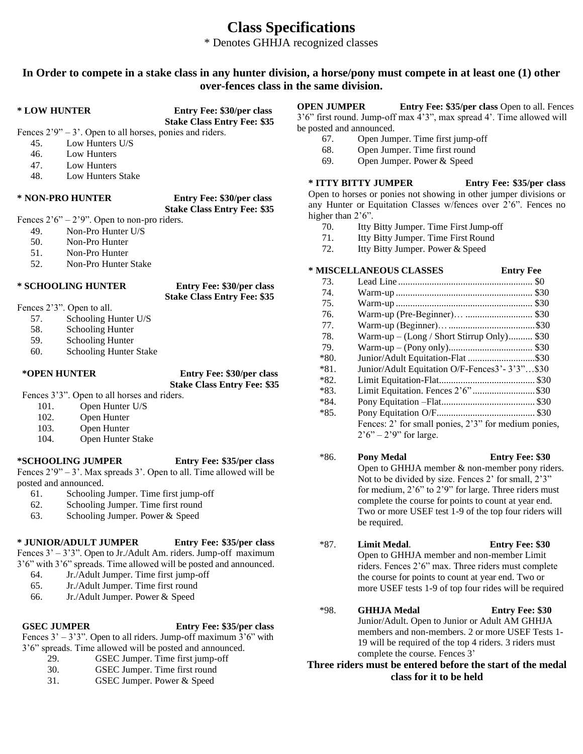# **Class Specifications**

\* Denotes GHHJA recognized classes

### **In Order to compete in a stake class in any hunter division, a horse/pony must compete in at least one (1) other over-fences class in the same division.**

**\* LOW HUNTER Entry Fee: \$30/per class** 

**Stake Class Entry Fee: \$35** Fences  $2'9'' - 3'$ . Open to all horses, ponies and riders.

- 45. Low Hunters U/S
- 46. Low Hunters
- 47. Low Hunters
- 48. Low Hunters Stake

### **\* NON-PRO HUNTER Entry Fee: \$30/per class**

**Stake Class Entry Fee: \$35**

Fences  $2'6'' - 2'9''$ . Open to non-pro riders.

- 49. Non-Pro Hunter U/S
- 50. Non-Pro Hunter
- 51. Non-Pro Hunter
- 52. Non-Pro Hunter Stake

### **\* SCHOOLING HUNTER Entry Fee: \$30/per class**

**Stake Class Entry Fee: \$35**

- Fences 2'3". Open to all.
	- 57. Schooling Hunter U/S
	- 58. Schooling Hunter
	- 59. Schooling Hunter
	- 60. Schooling Hunter Stake

**\*OPEN HUNTER Entry Fee: \$30/per class Stake Class Entry Fee: \$35**

Fences 3'3". Open to all horses and riders.

- 101. Open Hunter U/S
- 102. Open Hunter
- 103. Open Hunter
- 

### **\*SCHOOLING JUMPER Entry Fee: \$35/per class**

Fences  $2'9'' - 3'$ . Max spreads 3'. Open to all. Time allowed will be posted and announced.<br>61. Schooling

- Schooling Jumper. Time first jump-off
- 62. Schooling Jumper. Time first round
- 63. Schooling Jumper. Power & Speed

### **\* JUNIOR/ADULT JUMPER Entry Fee: \$35/per class**

Fences 3' – 3'3". Open to Jr./Adult Am. riders. Jump-off maximum 3'6" with 3'6" spreads. Time allowed will be posted and announced.

- 64. Jr./Adult Jumper. Time first jump-off
- 65. Jr./Adult Jumper. Time first round
- 66. Jr./Adult Jumper. Power & Speed

### **GSEC JUMPER Entry Fee: \$35/per class**

Fences  $3' - 3'3''$ . Open to all riders. Jump-off maximum  $3'6''$  with 3'6" spreads. Time allowed will be posted and announced.

- 29. GSEC Jumper. Time first jump-off
- 30. GSEC Jumper. Time first round
- 31. GSEC Jumper. Power & Speed

**OPEN JUMPER Entry Fee: \$35/per class** Open to all. Fences 3'6" first round. Jump-off max 4'3", max spread 4'. Time allowed will be posted and announced.

- 67. Open Jumper. Time first jump-off
- 68. Open Jumper. Time first round
- 69. Open Jumper. Power & Speed

# **\* ITTY BITTY JUMPER Entry Fee: \$35/per class**

Open to horses or ponies not showing in other jumper divisions or any Hunter or Equitation Classes w/fences over 2'6". Fences no higher than  $2'6$ ".

- 70. Itty Bitty Jumper. Time First Jump-off
- 71. Itty Bitty Jumper. Time First Round
- 72. Itty Bitty Jumper. Power & Speed

### **\* MISCELLANEOUS CLASSES Entry Fee**

| 73.    |                                                      |  |
|--------|------------------------------------------------------|--|
| 74.    |                                                      |  |
| 75.    |                                                      |  |
| 76.    |                                                      |  |
| 77.    |                                                      |  |
| 78.    | $Warm-up - (Long / Short Stirrup Only)$ \$30         |  |
| 79.    |                                                      |  |
| $*80.$ | Junior/Adult Equitation-Flat \$30                    |  |
| $*81.$ | Junior/Adult Equitation O/F-Fences3'-3'3"\$30        |  |
| $*82.$ |                                                      |  |
| $*83.$ | Limit Equitation. Fences 2'6"\$30                    |  |
| $*84.$ |                                                      |  |
| $*85.$ |                                                      |  |
|        | Fences: 2' for small ponies, 2'3" for medium ponies, |  |
|        | $2'6'' - 2'9''$ for large.                           |  |

### \*86. **Pony Medal Entry Fee: \$30**  Open to GHHJA member & non-member pony riders. Not to be divided by size. Fences 2' for small, 2'3" for medium, 2'6" to 2'9" for large. Three riders must complete the course for points to count at year end. Two or more USEF test 1-9 of the top four riders will be required.

- \*87. **Limit Medal**. **Entry Fee: \$30**  Open to GHHJA member and non-member Limit riders. Fences 2'6" max. Three riders must complete the course for points to count at year end. Two or more USEF tests 1-9 of top four rides will be required
- \*98. **GHHJA Medal Entry Fee: \$30**  Junior/Adult. Open to Junior or Adult AM GHHJA members and non-members. 2 or more USEF Tests 1- 19 will be required of the top 4 riders. 3 riders must complete the course. Fences 3'

### **Three riders must be entered before the start of the medal class for it to be held**

- 
- 
- 104. Open Hunter Stake